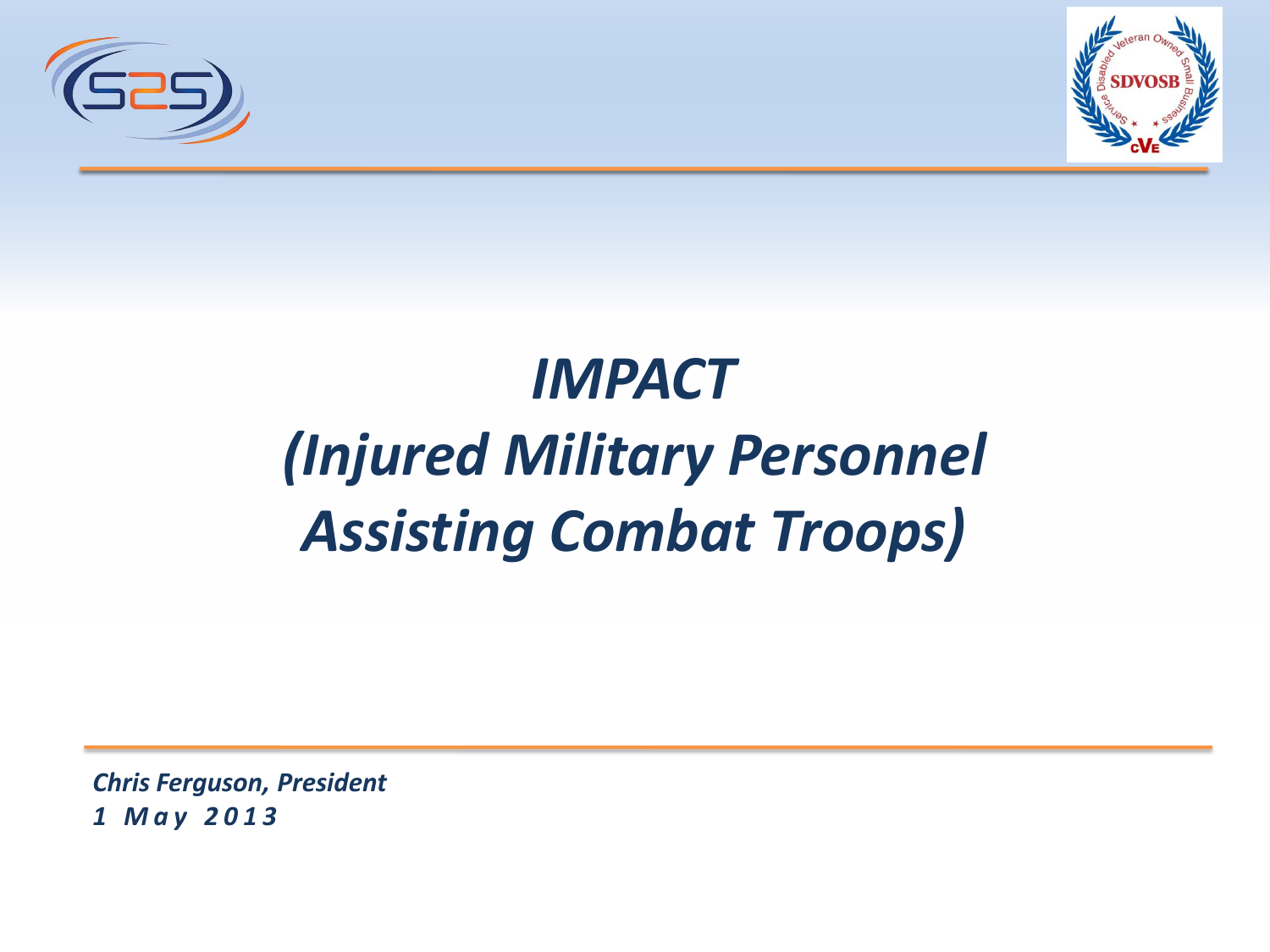



## *IMPACT (Injured Military Personnel Assisting Combat Troops)*

*Chris Ferguson, President 1 May 2013*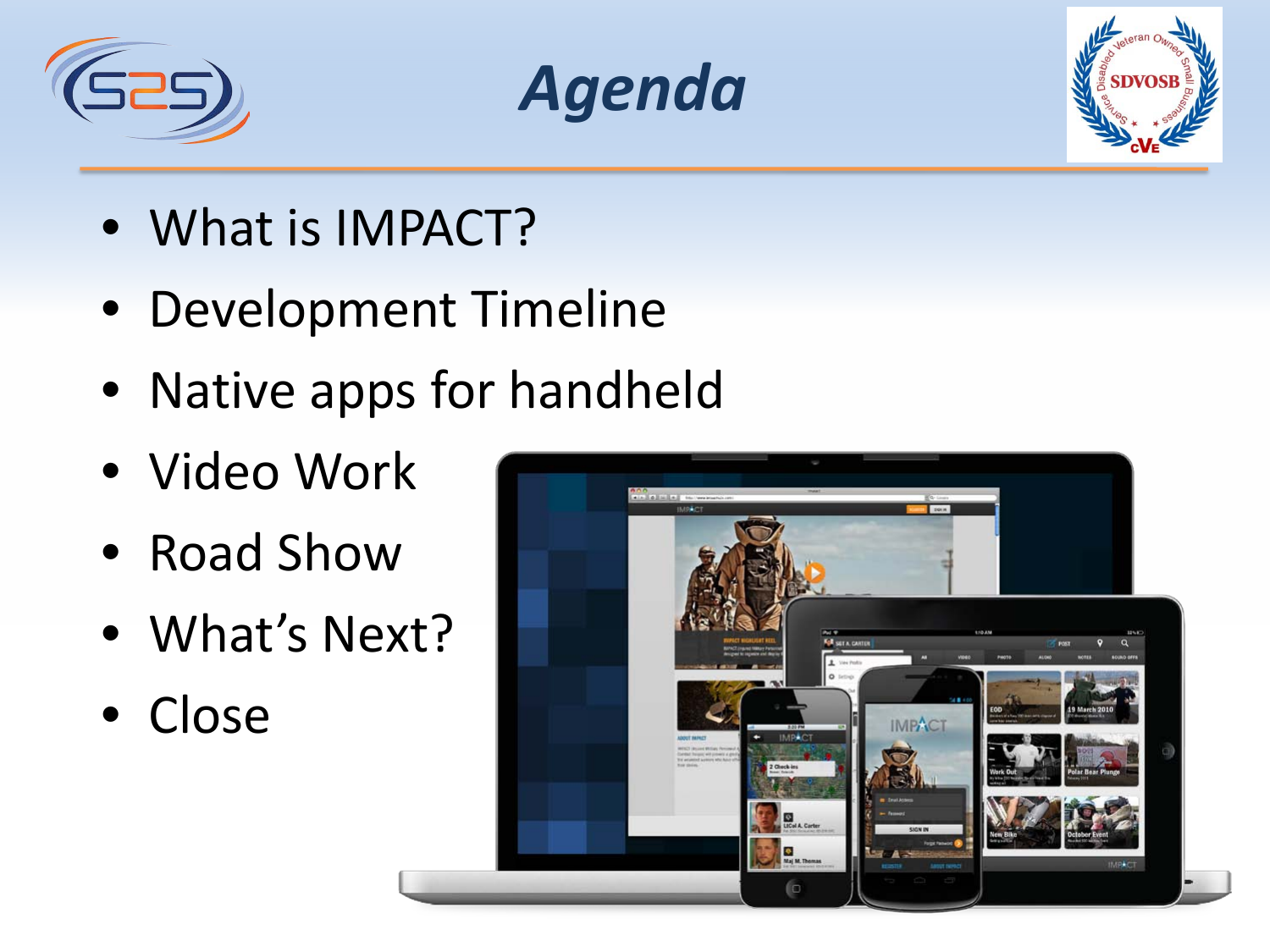





- What is IMPACT?
- Development Timeline
- Native apps for handheld
- Video Work
- Road Show
- What's Next?
- Close

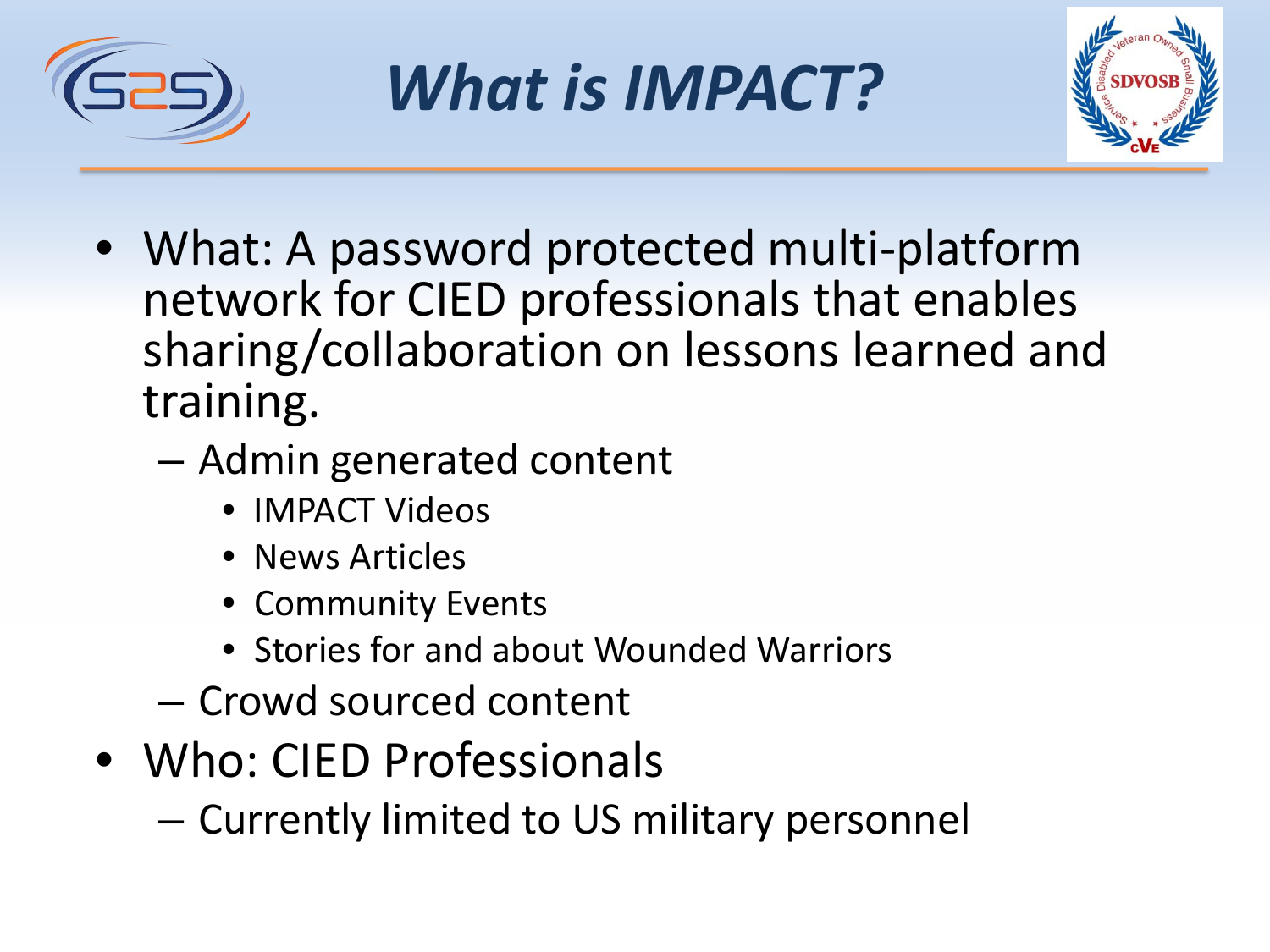



- What: A password protected multi-platform network for CIED professionals that enables sharing/collaboration on lessons learned and training.
	- Admin generated content
		- IMPACT Videos
		- News Articles
		- Community Events
		- Stories for and about Wounded Warriors
	- Crowd sourced content
- Who: CIED Professionals
	- Currently limited to US military personnel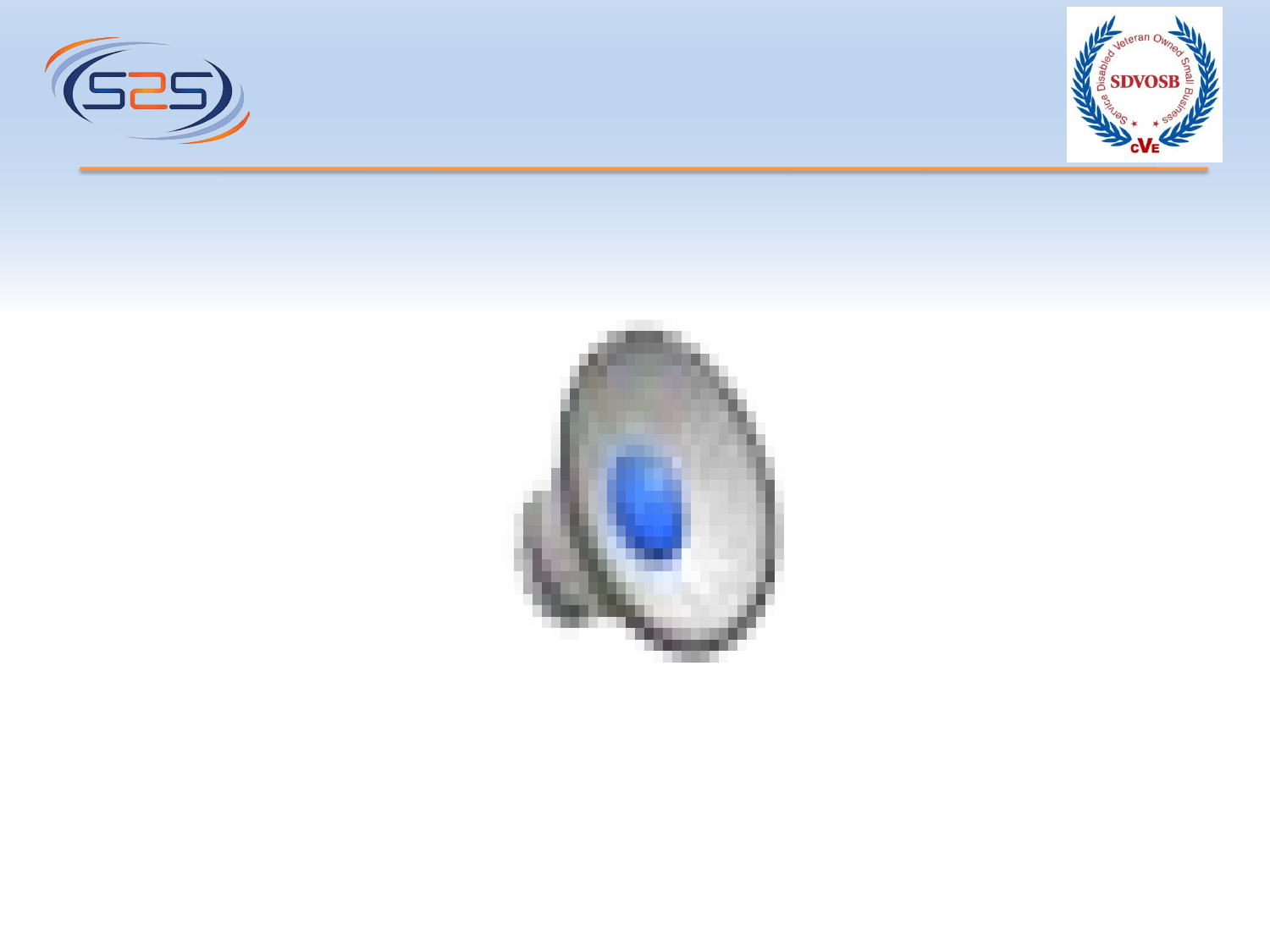



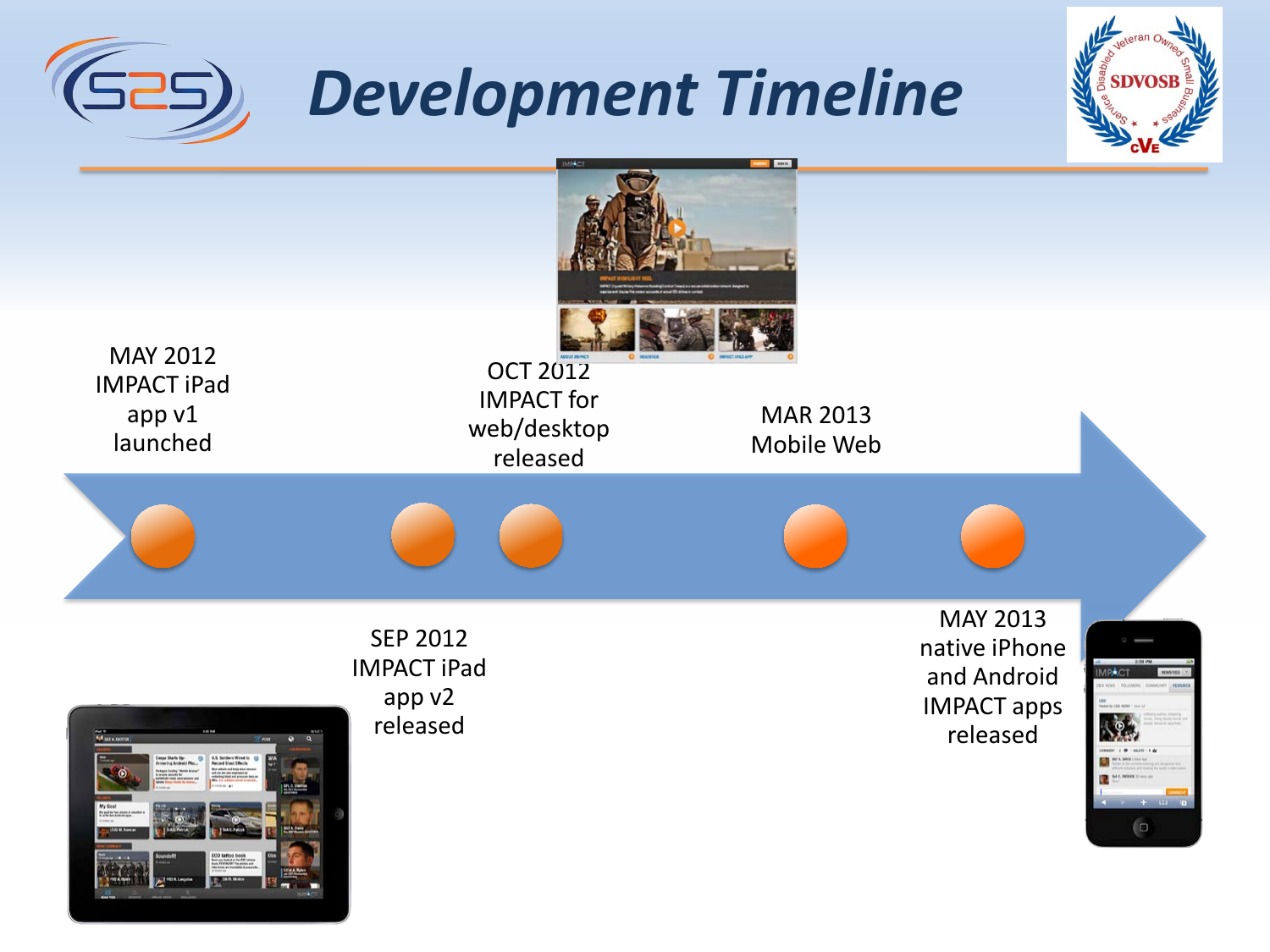

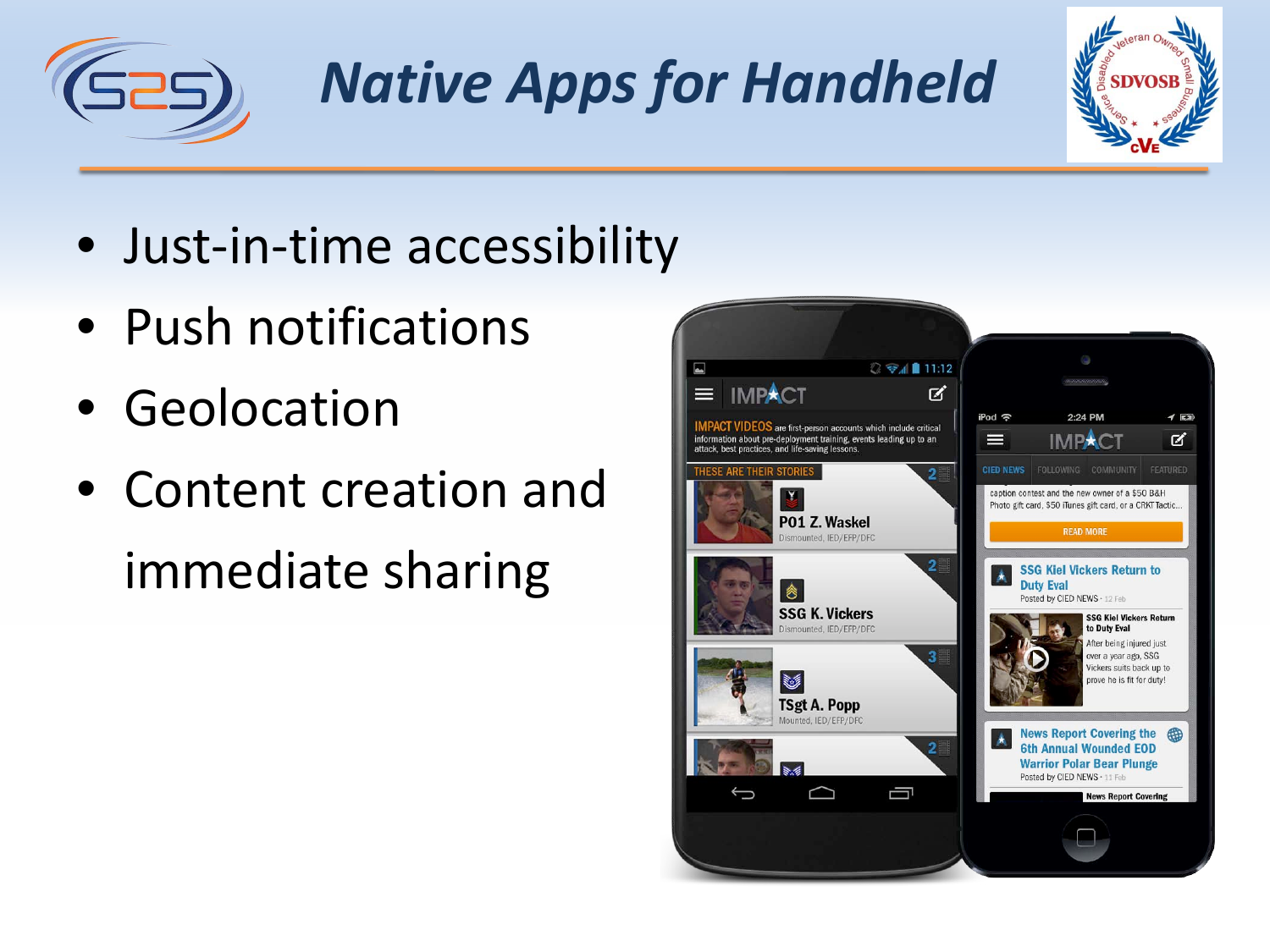

# *Native Apps for Handheld*



- Just-in-time accessibility
- Push notifications
- Geolocation
- Content creation and immediate sharing

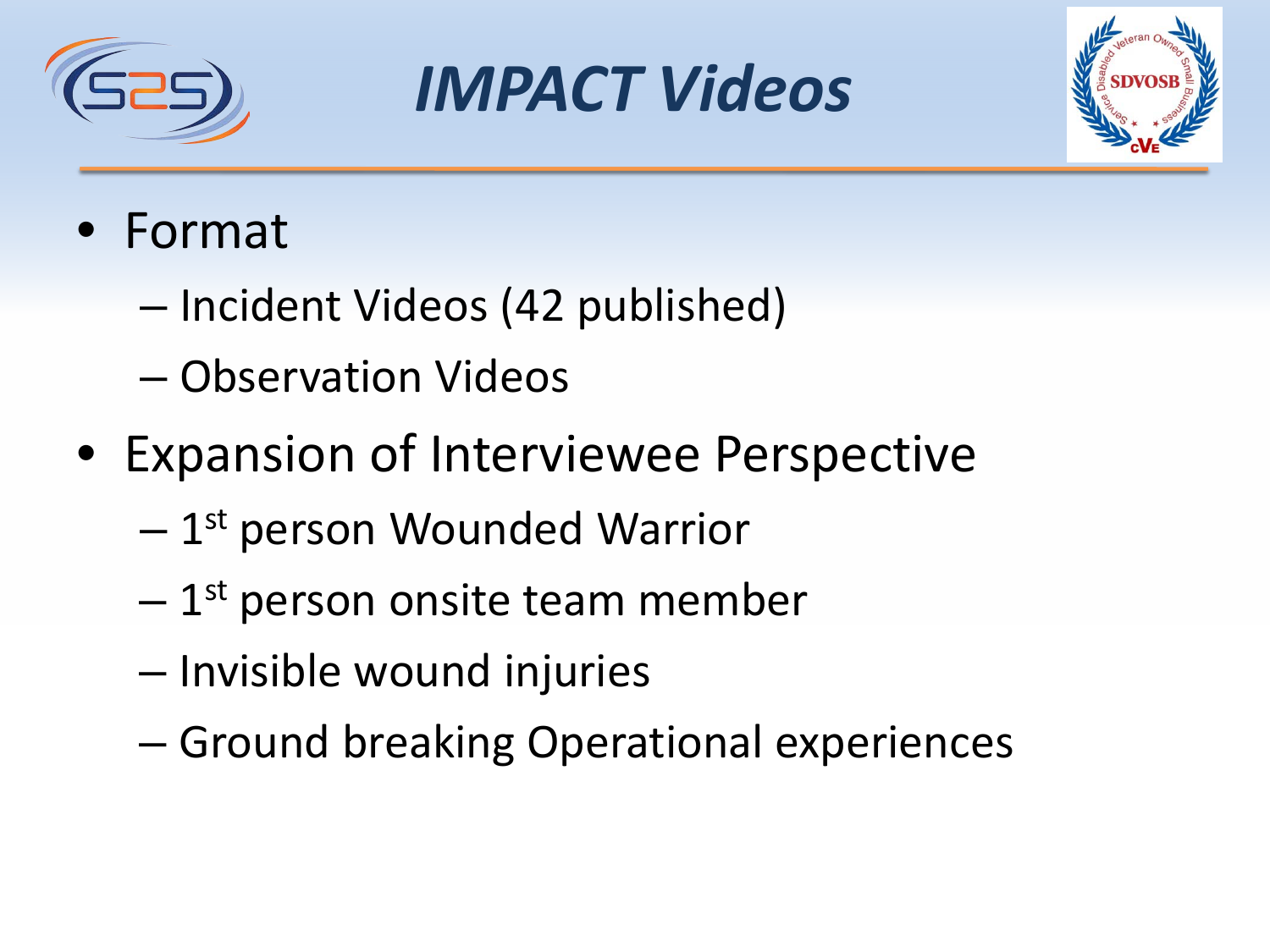

# *IMPACT Videos*



### • Format

- Incident Videos (42 published)
- Observation Videos
- Expansion of Interviewee Perspective
	- 1st person Wounded Warrior
	- $-1$ <sup>st</sup> person onsite team member
	- Invisible wound injuries
	- Ground breaking Operational experiences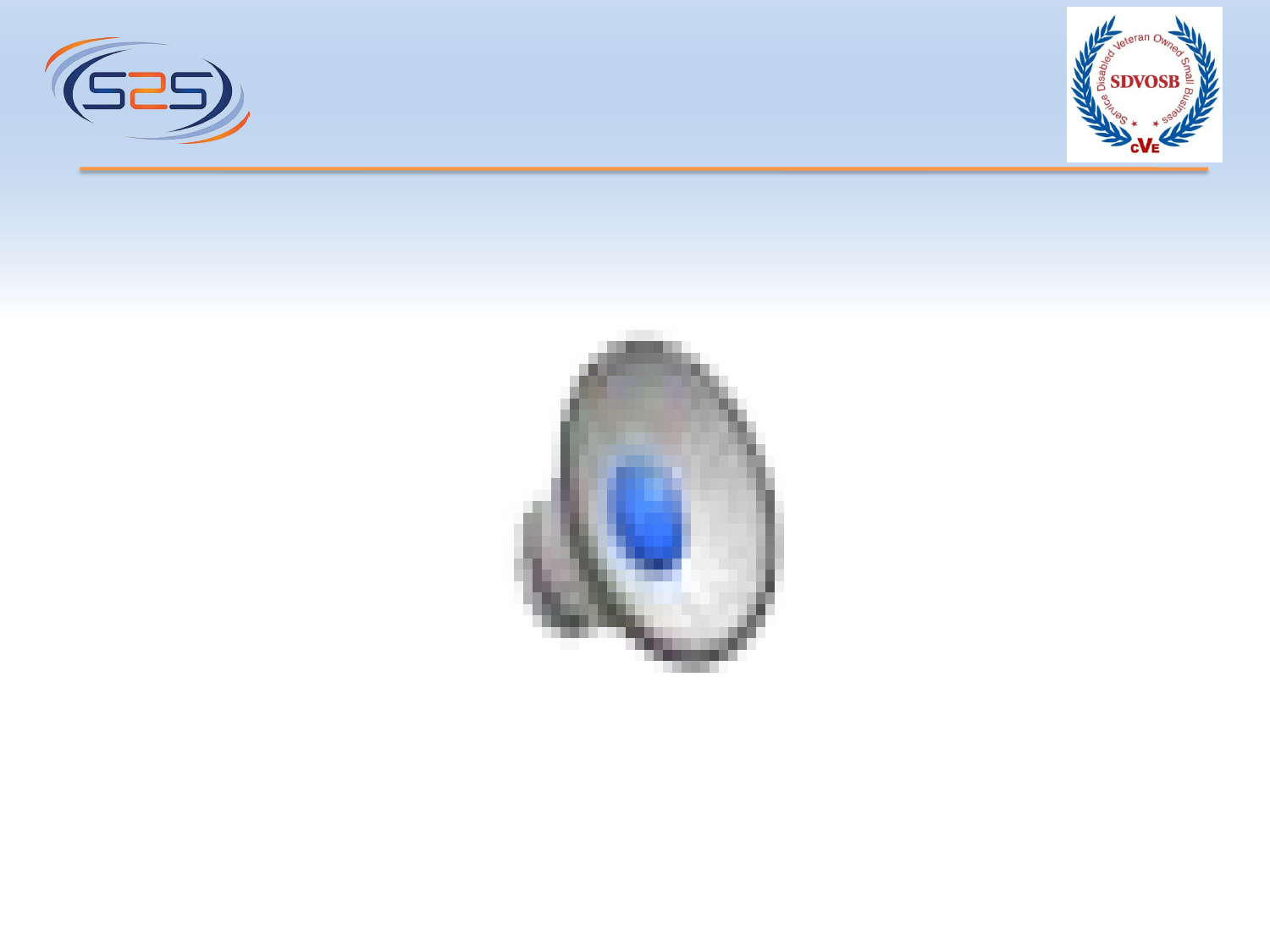



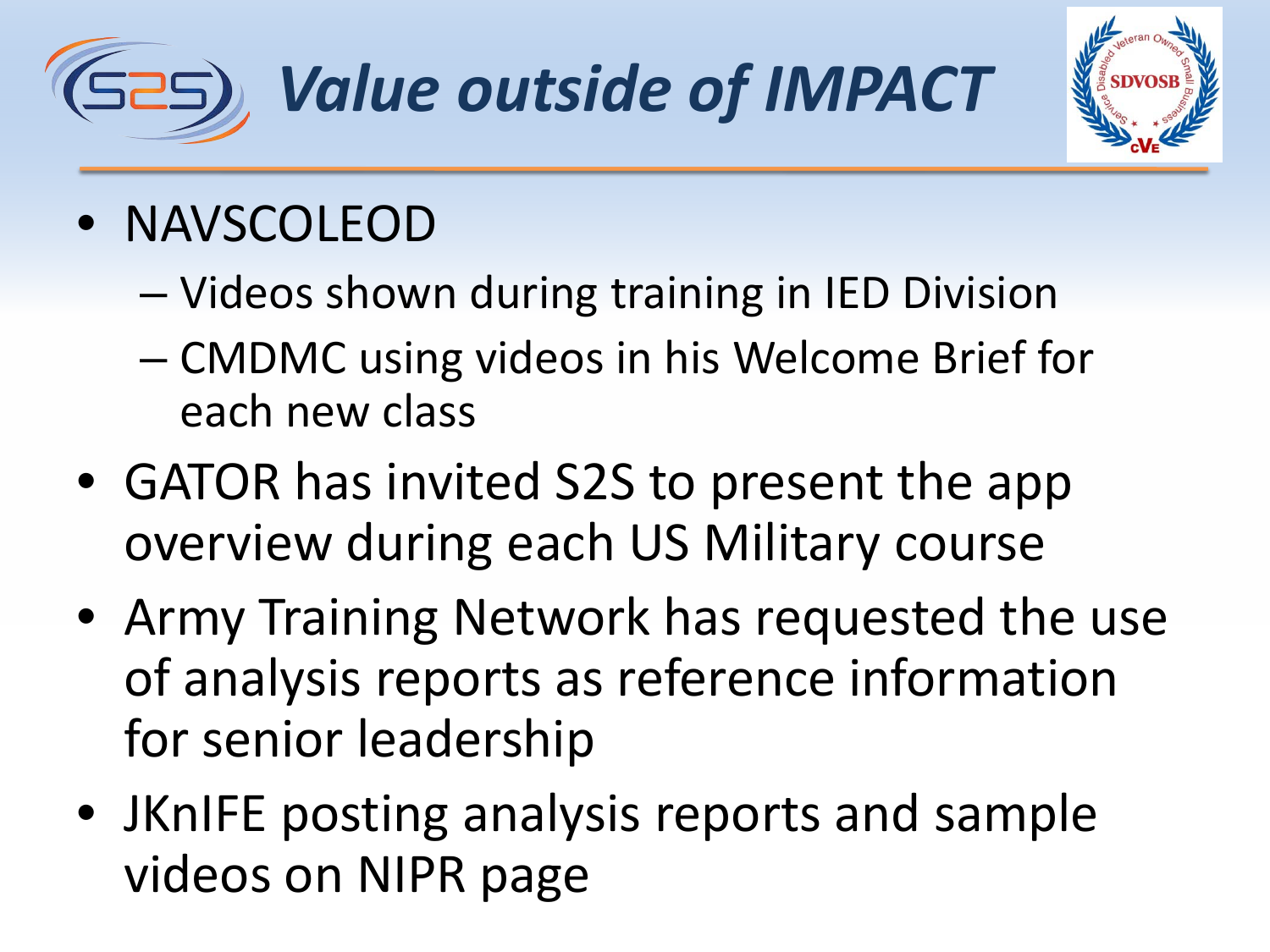



- NAVSCOLEOD
	- Videos shown during training in IED Division
	- CMDMC using videos in his Welcome Brief for each new class
- GATOR has invited S2S to present the app overview during each US Military course
- Army Training Network has requested the use of analysis reports as reference information for senior leadership
- JKnIFE posting analysis reports and sample videos on NIPR page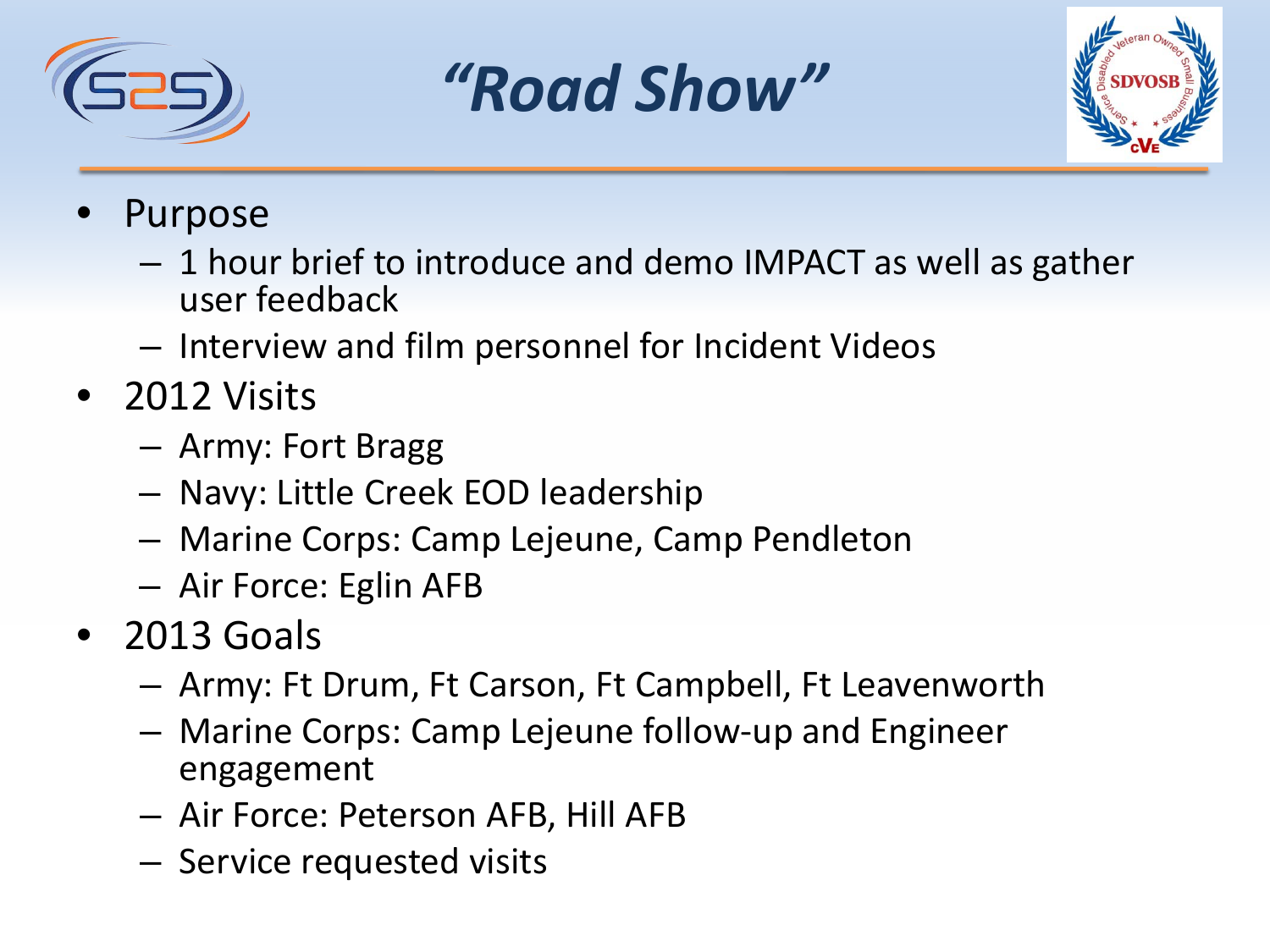





- **Purpose** 
	- 1 hour brief to introduce and demo IMPACT as well as gather user feedback
	- Interview and film personnel for Incident Videos
- 2012 Visits
	- Army: Fort Bragg
	- Navy: Little Creek EOD leadership
	- Marine Corps: Camp Lejeune, Camp Pendleton
	- Air Force: Eglin AFB
- 2013 Goals
	- Army: Ft Drum, Ft Carson, Ft Campbell, Ft Leavenworth
	- Marine Corps: Camp Lejeune follow-up and Engineer engagement
	- Air Force: Peterson AFB, Hill AFB
	- Service requested visits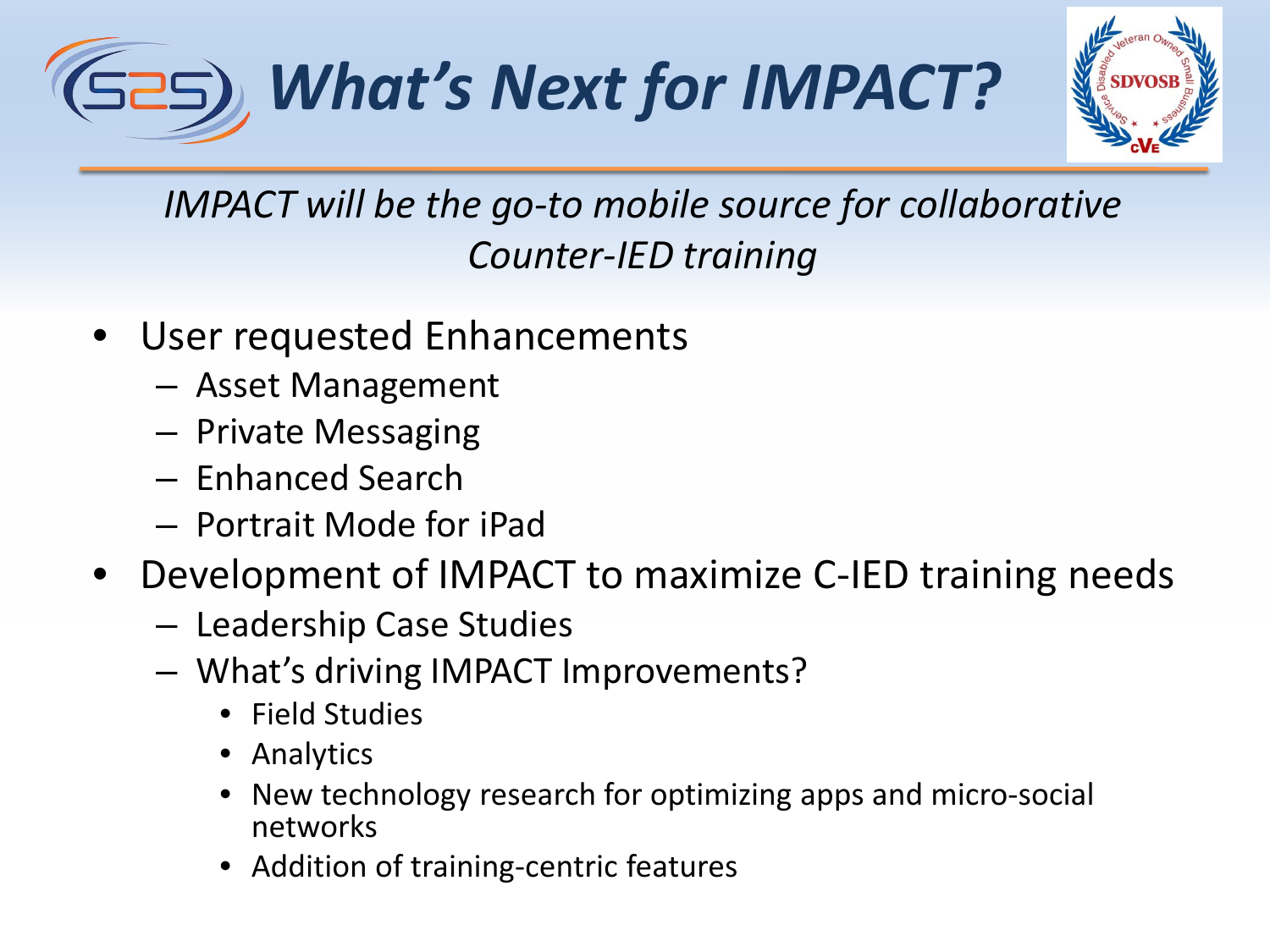



#### *IMPACT will be the go-to mobile source for collaborative Counter-IED training*

- User requested Enhancements
	- Asset Management
	- Private Messaging
	- Enhanced Search
	- Portrait Mode for iPad
- Development of IMPACT to maximize C-IED training needs
	- Leadership Case Studies
	- What's driving IMPACT Improvements?
		- Field Studies
		- Analytics
		- New technology research for optimizing apps and micro-social networks
		- Addition of training-centric features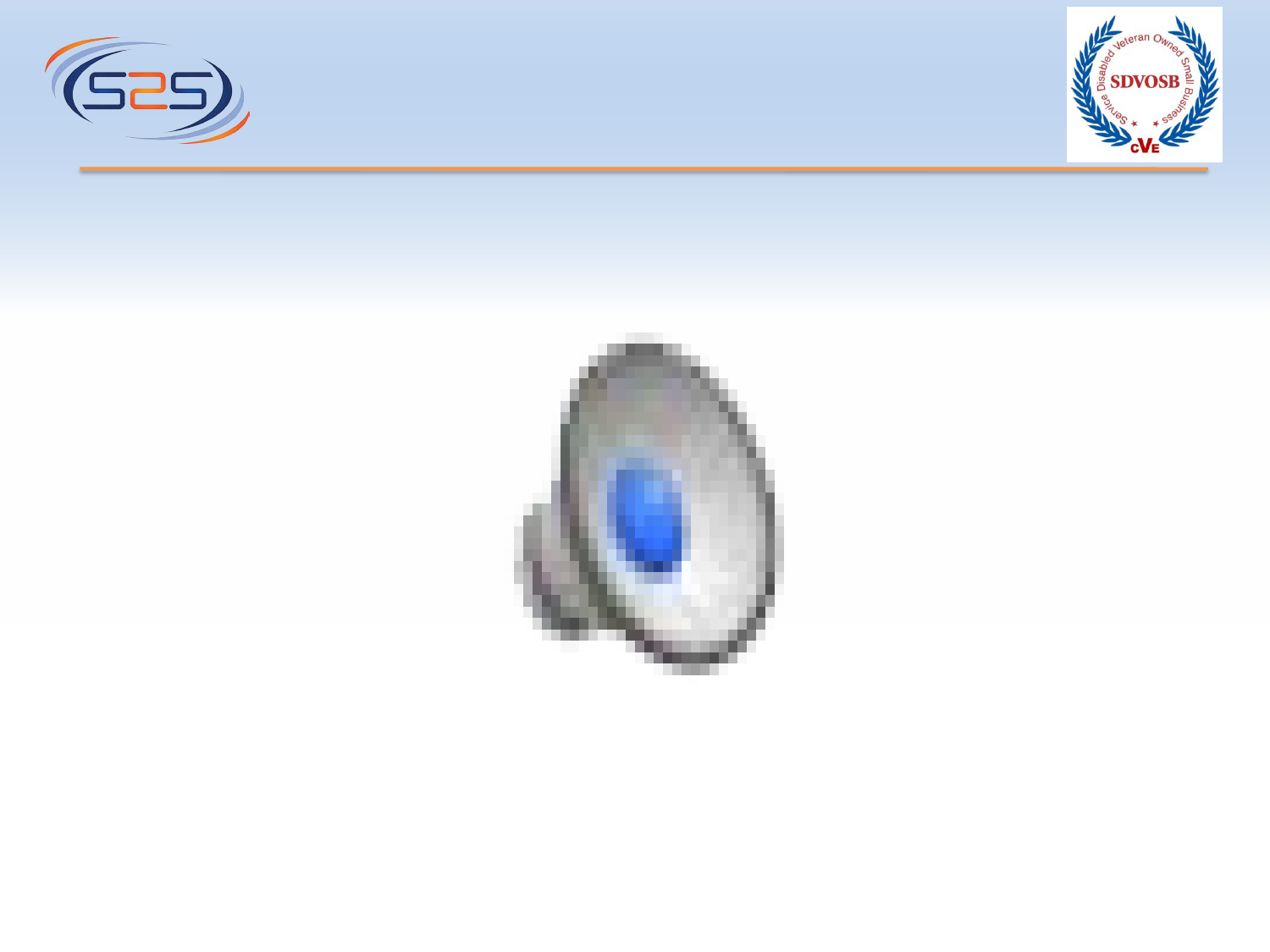